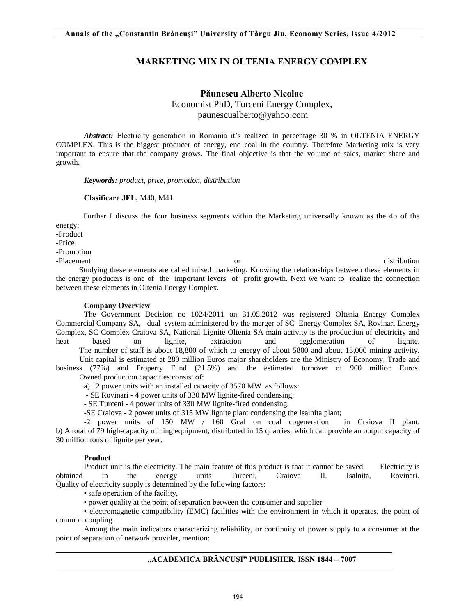# **MARKETING MIX IN OLTENIA ENERGY COMPLEX**

# **Păunescu Alberto Nicolae** Economist PhD, Turceni Energy Complex, paunescualberto@yahoo.com

Abstract: Electricity generation in Romania it's realized in percentage 30 % in OLTENIA ENERGY COMPLEX. This is the biggest producer of energy, end coal in the country. Therefore Marketing mix is very important to ensure that the company grows. The final objective is that the [volume of sales, market share and](http://ro-en.gsp.ro/index.php?d=e&q=volume+of+sales%2C+market+share+and+growth)  [growth.](http://ro-en.gsp.ro/index.php?d=e&q=volume+of+sales%2C+market+share+and+growth) 

*Keywords: product, price, promotion, distribution* 

#### **Clasificare JEL,** M40, M41

Further I discuss the four business segments within the Marketing universally known as the 4p of the energy:

-Product

-Price

-Promotion

-Placement or distribution or distribution Studying these elements are called mixed marketing. Knowing the relationships between these elements in the energy producers is one of the important levers of profit growth. Next we want to realize the connection between these elements in Oltenia Energy Complex.

#### **Company Overview**

The Government Decision no 1024/2011 on 31.05.2012 was registered Oltenia Energy Complex Commercial Company SA, dual system administered by the merger of SC Energy Complex SA, Rovinari Energy Complex, SC Complex Craiova SA, National Lignite Oltenia SA main activity is the production of electricity and heat based on lignite, extraction and agglomeration of lignite. The number of staff is about 18,800 of which to energy of about 5800 and about 13,000 mining activity.

 Unit capital is estimated at 280 million Euros major shareholders are the Ministry of Economy, Trade and business (77%) and Property Fund (21.5%) and the estimated turnover of 900 million Euros. Owned production capacities consist of:

a) 12 power units with an installed capacity of 3570 MW as follows:

- SE Rovinari - 4 power units of 330 MW lignite-fired condensing;

- SE Turceni - 4 power units of 330 MW lignite-fired condensing;

-SE Craiova - 2 power units of 315 MW lignite plant condensing the Isalnita plant;

-2 power units of 150 MW / 160 Gcal on coal cogeneration in Craiova II plant. b) A total of 79 high-capacity mining equipment, distributed in 15 quarries, which can provide an output capacity of 30 million tons of lignite per year.

#### **Product**

Product unit is the electricity. The main feature of this product is that it cannot be saved. Electricity is obtained in the energy units Turceni, Craiova II, Isalnita, Rovinari. Quality of electricity supply is determined by the following factors:

• safe operation of the facility,

• power quality at the point of separation between the consumer and supplier

• electromagnetic compatibility (EMC) facilities with the environment in which it operates, the point of common coupling.

Among the main indicators characterizing reliability, or continuity of power supply to a consumer at the point of separation of network provider, mention:

# **"ACADEMICA BRÂNCUŞI" PUBLISHER, ISSN 1844 – 7007**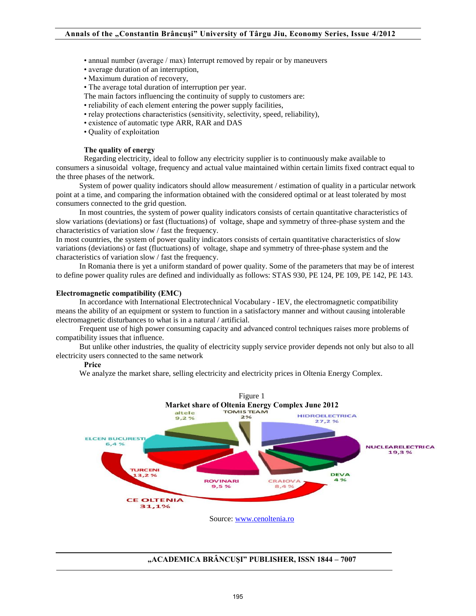- annual number (average / max) Interrupt removed by repair or by maneuvers
- average duration of an interruption,
- Maximum duration of recovery,
- The average total duration of interruption per year.
- The main factors influencing the continuity of supply to customers are:
- reliability of each element entering the power supply facilities,
- relay protections characteristics (sensitivity, selectivity, speed, reliability),
- existence of automatic type ARR, RAR and DAS
- Quality of exploitation

### **The quality of energy**

Regarding electricity, ideal to follow any electricity supplier is to continuously make available to consumers a sinusoidal voltage, frequency and actual value maintained within certain limits fixed contract equal to the three phases of the network.

 System of power quality indicators should allow measurement / estimation of quality in a particular network point at a time, and comparing the information obtained with the considered optimal or at least tolerated by most consumers connected to the grid question.

 In most countries, the system of power quality indicators consists of certain quantitative characteristics of slow variations (deviations) or fast (fluctuations) of voltage, shape and symmetry of three-phase system and the characteristics of variation slow / fast the frequency.

In most countries, the system of power quality indicators consists of certain quantitative characteristics of slow variations (deviations) or fast (fluctuations) of voltage, shape and symmetry of three-phase system and the characteristics of variation slow / fast the frequency.

 In Romania there is yet a uniform standard of power quality. Some of the parameters that may be of interest to define power quality rules are defined and individually as follows: STAS 930, PE 124, PE 109, PE 142, PE 143.

### **Electromagnetic compatibility (EMC)**

 In accordance with International Electrotechnical Vocabulary - IEV, the electromagnetic compatibility means the ability of an equipment or system to function in a satisfactory manner and without causing intolerable electromagnetic disturbances to what is in a natural / artificial.

 Frequent use of high power consuming capacity and advanced control techniques raises more problems of compatibility issues that influence.

 But unlike other industries, the quality of electricity supply service provider depends not only but also to all electricity users connected to the same network

### **Price**

We analyze the market share, selling electricity and electricity prices in Oltenia Energy Complex.



### **"ACADEMICA BRÂNCUŞI" PUBLISHER, ISSN 1844 – 7007**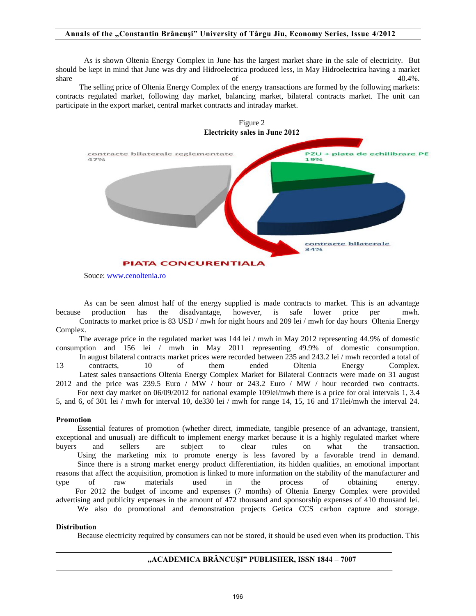### **Annals of the "Constantin Brâncuşi" University of Târgu Jiu, Economy Series, Issue 4/2012**

As is shown Oltenia Energy Complex in June has the largest market share in the sale of electricity. But should be kept in mind that June was dry and Hidroelectrica produced less, in May Hidroelectrica having a market share  $\qquad \qquad$  of  $\qquad \qquad$  40.4%.

 The selling price of Oltenia Energy Complex of the energy transactions are formed by the following markets: contracts regulated market, following day market, balancing market, bilateral contracts market. The unit can participate in the export market, central market contracts and intraday market.



Souce: [www.cenoltenia.ro](http://www.cenoltenia.ro/)

As can be seen almost half of the energy supplied is made contracts to market. This is an advantage because production has the disadvantage, however, is safe lower price per mwh. Contracts to market price is 83 USD / mwh for night hours and 209 lei / mwh for day hours Oltenia Energy Complex.

 The average price in the regulated market was 144 lei / mwh in May 2012 representing 44.9% of domestic consumption and 156 lei / mwh in May 2011 representing 49.9% of domestic consumption. In august bilateral contracts market prices were recorded between 235 and 243.2 lei / mwh recorded a total of 13 contracts, 10 of them ended Oltenia Energy Complex. Latest sales transactions Oltenia Energy Complex Market for Bilateral Contracts were made on 31 august

2012 and the price was 239.5 Euro / MW / hour or 243.2 Euro / MW / hour recorded two contracts. For next day market on 06/09/2012 for national example 109lei/mwh there is a price for oral intervals 1, 3.4

5, and 6, of 301 lei / mwh for interval 10, de330 lei / mwh for range 14, 15, 16 and 171lei/mwh the interval 24.

## **Promotion**

 Essential features of promotion (whether direct, immediate, tangible presence of an advantage, transient, exceptional and unusual) are difficult to implement energy market because it is a highly regulated market where buyers and sellers are subject to clear rules on what the transaction. Using the marketing mix to promote energy is less favored by a favorable trend in demand. Since there is a strong market energy product differentiation, its hidden qualities, an emotional important reasons that affect the acquisition, promotion is linked to more information on the stability of the manufacturer and type of raw materials used in the process of obtaining energy. For 2012 the budget of income and expenses (7 months) of Oltenia Energy Complex were provided advertising and publicity expenses in the amount of 472 thousand and sponsorship expenses of 410 thousand lei. We also do promotional and demonstration projects Getica CCS carbon capture and storage.

# **Distribution**

Because electricity required by consumers can not be stored, it should be used even when its production. This

# **"ACADEMICA BRÂNCUŞI" PUBLISHER, ISSN 1844 – 7007**